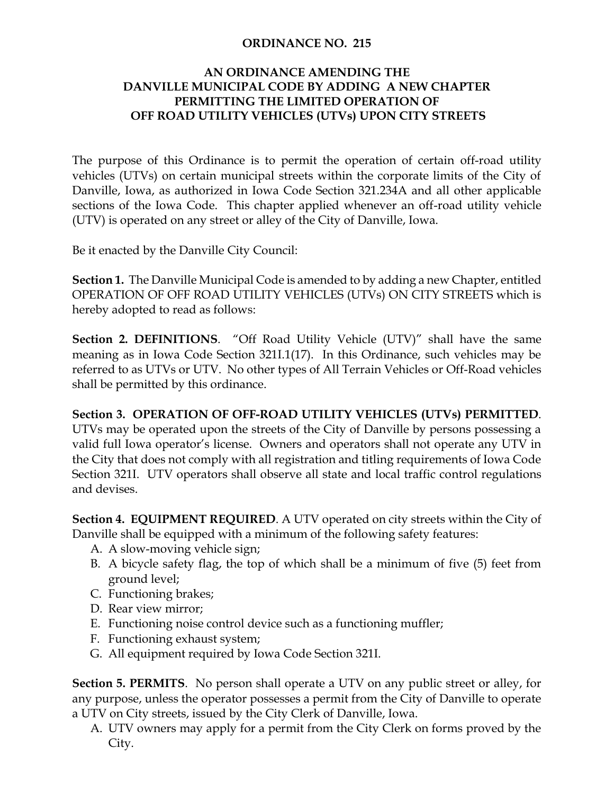## **ORDINANCE NO. 215**

## **AN ORDINANCE AMENDING THE DANVILLE MUNICIPAL CODE BY ADDING A NEW CHAPTER PERMITTING THE LIMITED OPERATION OF OFF ROAD UTILITY VEHICLES (UTVs) UPON CITY STREETS**

The purpose of this Ordinance is to permit the operation of certain off-road utility vehicles (UTVs) on certain municipal streets within the corporate limits of the City of Danville, Iowa, as authorized in Iowa Code Section 321.234A and all other applicable sections of the Iowa Code. This chapter applied whenever an off-road utility vehicle (UTV) is operated on any street or alley of the City of Danville, Iowa.

Be it enacted by the Danville City Council:

**Section 1.** The Danville Municipal Code is amended to by adding a new Chapter, entitled OPERATION OF OFF ROAD UTILITY VEHICLES (UTVs) ON CITY STREETS which is hereby adopted to read as follows:

**Section 2. DEFINITIONS**. "Off Road Utility Vehicle (UTV)" shall have the same meaning as in Iowa Code Section 321I.1(17). In this Ordinance, such vehicles may be referred to as UTVs or UTV. No other types of All Terrain Vehicles or Off-Road vehicles shall be permitted by this ordinance.

## **Section 3. OPERATION OF OFF-ROAD UTILITY VEHICLES (UTVs) PERMITTED**.

UTVs may be operated upon the streets of the City of Danville by persons possessing a valid full Iowa operator's license. Owners and operators shall not operate any UTV in the City that does not comply with all registration and titling requirements of Iowa Code Section 321I. UTV operators shall observe all state and local traffic control regulations and devises.

**Section 4. EQUIPMENT REQUIRED**. A UTV operated on city streets within the City of Danville shall be equipped with a minimum of the following safety features:

- A. A slow-moving vehicle sign;
- B. A bicycle safety flag, the top of which shall be a minimum of five (5) feet from ground level;
- C. Functioning brakes;
- D. Rear view mirror;
- E. Functioning noise control device such as a functioning muffler;
- F. Functioning exhaust system;
- G. All equipment required by Iowa Code Section 321I.

**Section 5. PERMITS**. No person shall operate a UTV on any public street or alley, for any purpose, unless the operator possesses a permit from the City of Danville to operate a UTV on City streets, issued by the City Clerk of Danville, Iowa.

A. UTV owners may apply for a permit from the City Clerk on forms proved by the City.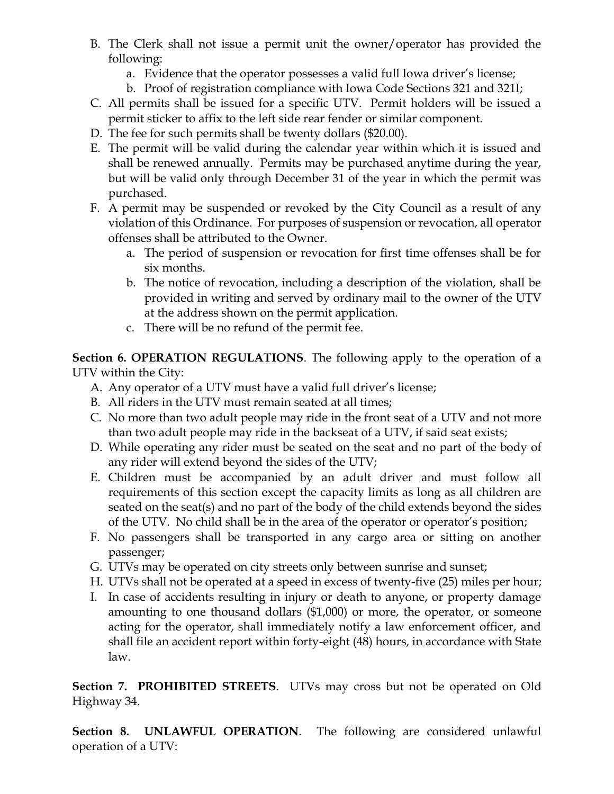- B. The Clerk shall not issue a permit unit the owner/operator has provided the following:
	- a. Evidence that the operator possesses a valid full Iowa driver's license;
	- b. Proof of registration compliance with Iowa Code Sections 321 and 321I;
- C. All permits shall be issued for a specific UTV. Permit holders will be issued a permit sticker to affix to the left side rear fender or similar component.
- D. The fee for such permits shall be twenty dollars (\$20.00).
- E. The permit will be valid during the calendar year within which it is issued and shall be renewed annually. Permits may be purchased anytime during the year, but will be valid only through December 31 of the year in which the permit was purchased.
- F. A permit may be suspended or revoked by the City Council as a result of any violation of this Ordinance. For purposes of suspension or revocation, all operator offenses shall be attributed to the Owner.
	- a. The period of suspension or revocation for first time offenses shall be for six months.
	- b. The notice of revocation, including a description of the violation, shall be provided in writing and served by ordinary mail to the owner of the UTV at the address shown on the permit application.
	- c. There will be no refund of the permit fee.

**Section 6. OPERATION REGULATIONS**. The following apply to the operation of a UTV within the City:

- A. Any operator of a UTV must have a valid full driver's license;
- B. All riders in the UTV must remain seated at all times;
- C. No more than two adult people may ride in the front seat of a UTV and not more than two adult people may ride in the backseat of a UTV, if said seat exists;
- D. While operating any rider must be seated on the seat and no part of the body of any rider will extend beyond the sides of the UTV;
- E. Children must be accompanied by an adult driver and must follow all requirements of this section except the capacity limits as long as all children are seated on the seat(s) and no part of the body of the child extends beyond the sides of the UTV. No child shall be in the area of the operator or operator's position;
- F. No passengers shall be transported in any cargo area or sitting on another passenger;
- G. UTVs may be operated on city streets only between sunrise and sunset;
- H. UTVs shall not be operated at a speed in excess of twenty-five (25) miles per hour;
- I. In case of accidents resulting in injury or death to anyone, or property damage amounting to one thousand dollars (\$1,000) or more, the operator, or someone acting for the operator, shall immediately notify a law enforcement officer, and shall file an accident report within forty-eight (48) hours, in accordance with State law.

**Section 7. PROHIBITED STREETS**. UTVs may cross but not be operated on Old Highway 34.

**Section 8. UNLAWFUL OPERATION**. The following are considered unlawful operation of a UTV: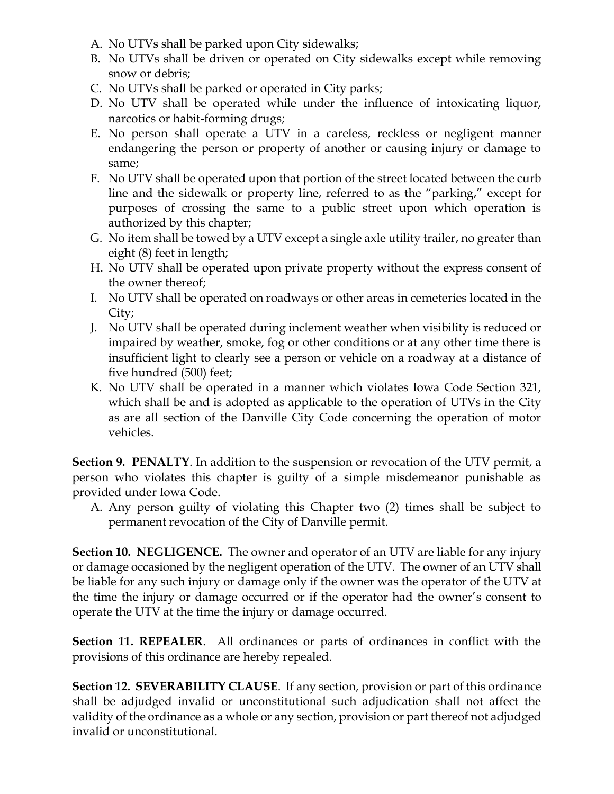- A. No UTVs shall be parked upon City sidewalks;
- B. No UTVs shall be driven or operated on City sidewalks except while removing snow or debris;
- C. No UTVs shall be parked or operated in City parks;
- D. No UTV shall be operated while under the influence of intoxicating liquor, narcotics or habit-forming drugs;
- E. No person shall operate a UTV in a careless, reckless or negligent manner endangering the person or property of another or causing injury or damage to same;
- F. No UTV shall be operated upon that portion of the street located between the curb line and the sidewalk or property line, referred to as the "parking," except for purposes of crossing the same to a public street upon which operation is authorized by this chapter;
- G. No item shall be towed by a UTV except a single axle utility trailer, no greater than eight (8) feet in length;
- H. No UTV shall be operated upon private property without the express consent of the owner thereof;
- I. No UTV shall be operated on roadways or other areas in cemeteries located in the City;
- J. No UTV shall be operated during inclement weather when visibility is reduced or impaired by weather, smoke, fog or other conditions or at any other time there is insufficient light to clearly see a person or vehicle on a roadway at a distance of five hundred (500) feet;
- K. No UTV shall be operated in a manner which violates Iowa Code Section 321, which shall be and is adopted as applicable to the operation of UTVs in the City as are all section of the Danville City Code concerning the operation of motor vehicles.

**Section 9. PENALTY**. In addition to the suspension or revocation of the UTV permit, a person who violates this chapter is guilty of a simple misdemeanor punishable as provided under Iowa Code.

A. Any person guilty of violating this Chapter two (2) times shall be subject to permanent revocation of the City of Danville permit.

**Section 10. NEGLIGENCE.** The owner and operator of an UTV are liable for any injury or damage occasioned by the negligent operation of the UTV. The owner of an UTV shall be liable for any such injury or damage only if the owner was the operator of the UTV at the time the injury or damage occurred or if the operator had the owner's consent to operate the UTV at the time the injury or damage occurred.

**Section 11. REPEALER**. All ordinances or parts of ordinances in conflict with the provisions of this ordinance are hereby repealed.

**Section 12. SEVERABILITY CLAUSE**. If any section, provision or part of this ordinance shall be adjudged invalid or unconstitutional such adjudication shall not affect the validity of the ordinance as a whole or any section, provision or part thereof not adjudged invalid or unconstitutional.